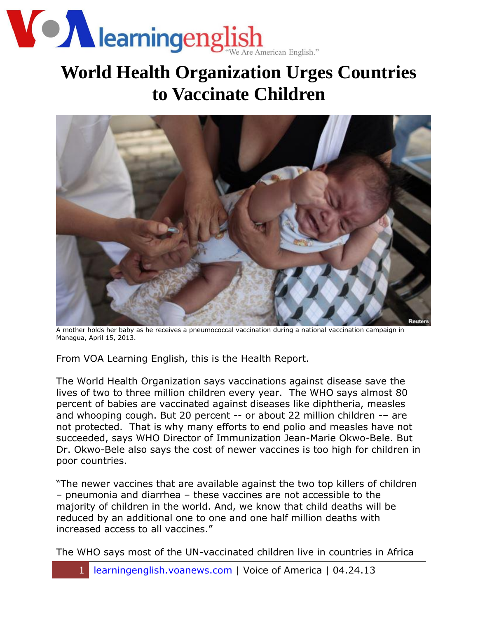

## **World Health Organization Urges Countries to Vaccinate Children**



A mother holds her baby as he receives a pneumococcal vaccination during a national vaccination campaign in Managua, April 15, 2013.

From VOA Learning English, this is the Health Report.

The World Health Organization says vaccinations against disease save the lives of two to three million children every year. The WHO says almost 80 percent of babies are vaccinated against diseases like diphtheria, measles and whooping cough. But 20 percent -- or about 22 million children -– are not protected. That is why many efforts to end polio and measles have not succeeded, says WHO Director of Immunization Jean-Marie Okwo-Bele. But Dr. Okwo-Bele also says the cost of newer vaccines is too high for children in poor countries.

"The newer vaccines that are available against the two top killers of children – pneumonia and diarrhea – these vaccines are not accessible to the majority of children in the world. And, we know that child deaths will be reduced by an additional one to one and one half million deaths with increased access to all vaccines."

The WHO says most of the UN-vaccinated children live in countries in Africa